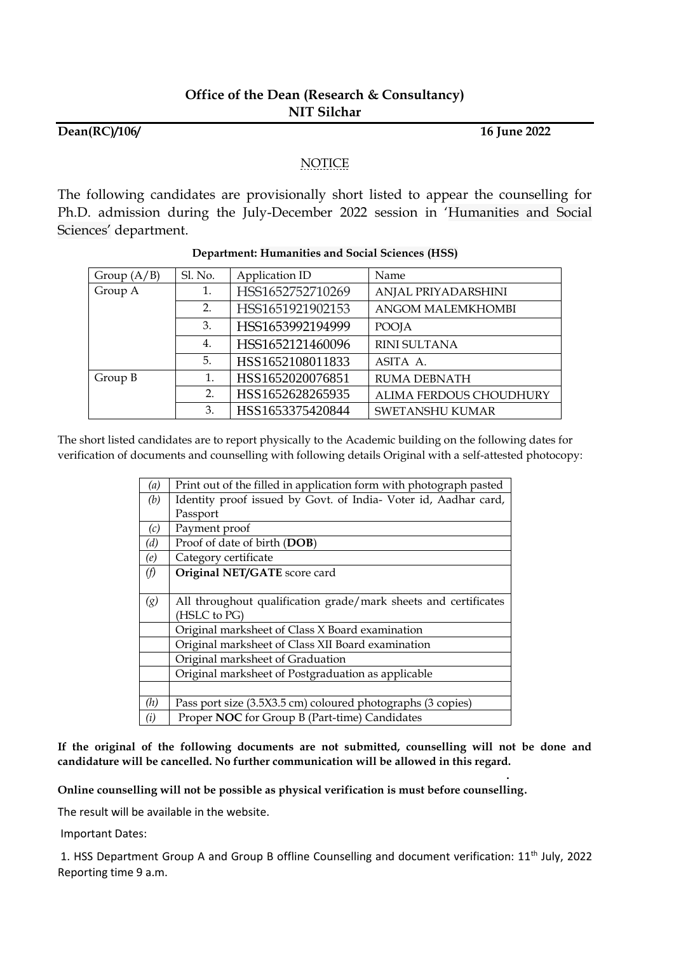## **Dean(RC)/106/ 16 June 2022**

**.**

## NOTICE

The following candidates are provisionally short listed to appear the counselling for Ph.D. admission during the July-December 2022 session in 'Humanities and Social Sciences' department.

| Group $(A/B)$ | Sl. No. | Application ID   | Name                     |
|---------------|---------|------------------|--------------------------|
| Group A       | 1.      | HSS1652752710269 | ANJAL PRIYADARSHINI      |
|               | 2.      | HSS1651921902153 | <b>ANGOM MALEMKHOMBI</b> |
|               | 3.      | HSS1653992194999 | POOJA                    |
|               | 4.      | HSS1652121460096 | RINI SULTANA             |
|               | 5.      | HSS1652108011833 | ASITA A.                 |
| Group B       | 1.      | HSS1652020076851 | <b>RUMA DEBNATH</b>      |
|               | 2.      | HSS1652628265935 | ALIMA FERDOUS CHOUDHURY  |
|               | 3.      | HSS1653375420844 | <b>SWETANSHU KUMAR</b>   |

## **Department: Humanities and Social Sciences (HSS)**

The short listed candidates are to report physically to the Academic building on the following dates for verification of documents and counselling with following details Original with a self-attested photocopy:

| (a) | Print out of the filled in application form with photograph pasted |
|-----|--------------------------------------------------------------------|
| (b) | Identity proof issued by Govt. of India- Voter id, Aadhar card,    |
|     | Passport                                                           |
| (c) | Payment proof                                                      |
| (d) | Proof of date of birth (DOB)                                       |
| (e) | Category certificate                                               |
| (f) | Original NET/GATE score card                                       |
|     |                                                                    |
| (g) | All throughout qualification grade/mark sheets and certificates    |
|     | (HSLC to PG)                                                       |
|     | Original marksheet of Class X Board examination                    |
|     | Original marksheet of Class XII Board examination                  |
|     | Original marksheet of Graduation                                   |
|     | Original marksheet of Postgraduation as applicable                 |
|     |                                                                    |
| (h) | Pass port size (3.5X3.5 cm) coloured photographs (3 copies)        |
| (i) | Proper NOC for Group B (Part-time) Candidates                      |

**If the original of the following documents are not submitted, counselling will not be done and candidature will be cancelled. No further communication will be allowed in this regard.**

**Online counselling will not be possible as physical verification is must before counselling.**

The result will be available in the website.

Important Dates:

1. HSS Department Group A and Group B offline Counselling and document verification: 11<sup>th</sup> July, 2022 Reporting time 9 a.m.